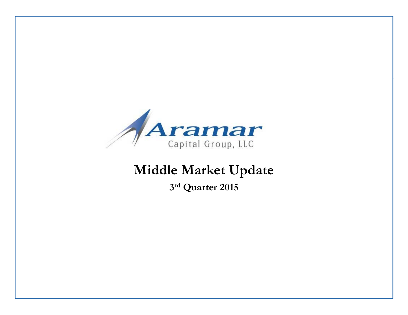

## **Middle Market Update**

**3r<sup>d</sup> Quarter 2015**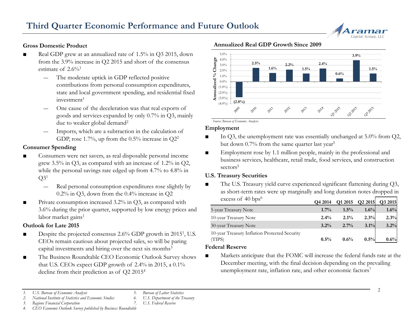# Capital Group, LL

#### **Gross Domestic Product**

- ■ Real GDP grew at an annualized rate of 1.5% in Q3 2015, down from the 3.9% increase in Q2 2015 and short of the consensus estimate of  $2.6\%$ <sup>1</sup>
	- ― $-$  The moderate uptick in GDP reflected positive  $\ddot{\theta}$ contributions from personal consumption expenditures, state and local government spending, and residential fixed  $investment<sup>1</sup>$
	- One cause of the deceleration was that real exports of goods and services expanded by only  $0.7\%$  in Q3, mainly due to weaker global demand<sup>2</sup>
	- Imports, which are a subtraction in the calculation of GDP, rose 1.7%, up from the 0.5% increase in  $Q2^2$

#### **Consumer Spending**

- ■Consumers were net savers, as real disposable personal income grew 3.5% in Q3, as compared with an increase of 1.2% in Q2, while the personal savings rate edged up from 4.7% to 4.8% in  $O3<sup>1</sup>$ 
	- Real personal consumption expenditures rose slightly by 0.2% in Q3, down from the 0.4% increase in Q 2 Q3, down from the 0.4% increase in Q2 as short-term rate<br>ation increased  $3.2\%$  in Q3, as compared with excess of 40 bps<sup>6</sup>
- ■ Private consumption increased 3.2% in Q3, as compared with 3.6% during the prior quarter, supported by low energy prices and labor market gains<sup>1</sup>

#### **Outlook for Late 2015**

- ■ $\blacksquare$  Despite the projected consensus 2.6% GDP growth in 2015<sup>1</sup>, U.S. CEOs remain cautious about projected sales, so will be paring capital investments and hiring over the next six months<sup>3</sup>
- ■ The Business Roundtable CEO Economic Outlook Survey shows that U.S. CEOs expect GDP growth of 2.4% in 2015, a 0.1% decline from their prediction as of Q2 2015<sup>4</sup>

*5. Bureau of Labor Statistics 6. U.S. Department of the Treasury*

*7. U.S. Federal Reserve*

#### **Annualized Real GDP Growth Since 2009**



*Source: Bureau of Economic Analysis.*

#### **Employment**

- ■ In Q3, the unemployment rate was essentially unchanged at 5.0% from Q2, but down 0.7% from the same quarter last year<sup>5</sup>
- ■ Employment rose by 1.1 million people, mainly in the professional and business services, healthcare, retail trade, food services, and construction sectors<sup>5</sup>

#### **U.S. Treasury Securities**

 The U.S. Treasury yield curve experienced significant flattening during Q3, as short-term rates were up marginally and long duration notes dropped in 6

| excess of 40 bps <sup>o</sup>                           | Q4 2014 | Q1 2015 | Q2 2015 | Q3 2015 |
|---------------------------------------------------------|---------|---------|---------|---------|
| 5-year Treasury Note                                    | $1.7\%$ | $1.5\%$ | $1.6\%$ | 1.6%    |
| 10-year Treasury Note                                   | $2.4\%$ | $2.1\%$ | 2.3%    | 2.3%    |
| 30-year Treasury Note                                   | $3.2\%$ | $2.7\%$ | 3.1%    | 3.2%    |
| 10-year Treasury Inflation Protected Security<br>(TIPS) | $0.5\%$ | 0.6%    | $0.5\%$ | 0.6%    |

#### **Federal Reserve**

 Markets anticipate that the FOMC will increase the federal funds rate at the December meeting, with the final decision depending on the prevailing unemployment rate, inflation rate, and other economic factors<sup>7</sup>

*2. National Institute of Statistics and Economic Studies*

*<sup>1.</sup> U.S. Bureau of Economic Analysis*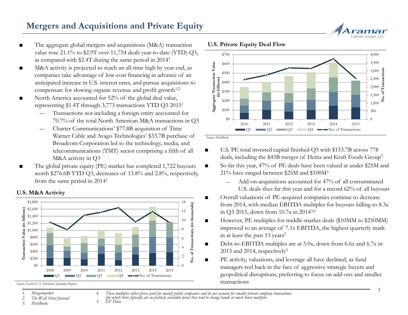### **Mergers and Acquisitions and Private Equity**

- ■ The aggregate global mergers and acquisitions (M&A) transaction value rose 21.1% to \$2.9T over 11,754 deals year-to-date (YTD) Q3, as compared with \$2.4T during the same period in 20141
- ■ M&A activity is projected to reach an all-time high by year end, as companies take advantage of low-cost financing in advance of an discribed with \$2.41 during the same period in 2014<br>M&A activity is projected to reach an all-time high by year end, as<br>companies take advantage of low-cost financing in advance of an<br>anticipated increase in U.S. interest
- ■ North America accounted for 52% of the global deal value, representing \$1.4T through 3,773 transactions YTD Q3 20151
	- Transactions not including a foreign entity accounted for 70.7% of the total North American M&A transactions in Q3
	- Charter Communications' \$77.8B acquisition of Time Warner Cable and Avago Technologies' \$33.7B purchase of Broadcom Corporation led to the technology, media, and telecommunications (TMT) sector comprising a fifth of all M&A activity in Q3
- The global private equity (PE) market has completed 1,722 buyouts worth \$276.6B YTD Q3, decreases of 13.8% and 2.8%, respectively, from the same period in 20141

#### **U.S. M&A Activity**



*Source: FactSet U.S. Flashwire September Report.* 

- 
- *2. The Wall Street Journal*

*3. PitchBook*



**U.S. Private Equity Deal Flow**



*Source: PitchBook.*

- U.S. PE total invested capital finished Q3 with \$153.7B across 778 M&A activity in Q3 deals, including the \$45B merger of Heinz and Kraft Foods Group<sup>3</sup>
	- So far this year, 47% of PE deals have been valued at under \$25M and 21% have ranged between \$25M and \$100M3
		- — Add-on acquisitions accounted for 47% of all consummated U.S. deals thus far this year and for a record 62% of all buyouts
	- **verall valuations of PE-acquired companies continue to decrease** from 2014, with median EBITDA multiples for buyouts falling to 8.3x in Q3 2015, down from 10.7x in 20143,4
	- ■ However, PE multiples for middle-market deals (\$10MM to \$250MM) improved to an average of 7.1x EBITDA, the highest quarterly mark in at least the past 13 years<sup>5</sup>
	- ■ Debt-to-EBITDA multiples are at 5.0x, down from 6.6x and 6.7x in 2013 and 2014, respectively<sup>3</sup>
	- ■ PE activity, valuations, and leverage all have declined, as fund managers reel back in the face of aggressive strategic buyers and geopolitical disruptions, preferring to focus on add-ons and smaller transactions

*1. Mergermarket* for which there typically are no publicly available data) that tend to change hands at much lower multiples<br>5. GF Data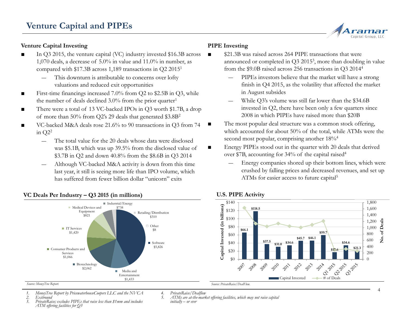#### **Venture Capital Investing**

- ■ In Q3 2015, the venture capital (VC) industry invested \$16.3B across 1,070 deals, a decrease of 5.0% in value and 11.0% in number, as compared with \$17.3B across 1,189 transactions in Q2 20151
	- This downturn is attributable to concerns over lofty valuations and reduced exit opportunities
- ■ First-time financings increased 7.0% from Q2 to \$2.5B in Q3, while the number of deals declined  $3.0\%$  from the prior quarter<sup>1</sup>
- ■ There were a total of 13 VC-backed IPOs in Q3 worth \$1.7B, a drop of more than 50% from Q2's 29 deals that generated \$3.8B<sup>2</sup> 2008 in which PIPEs have raised more than \$20B
- ■ VC-backed M&A deals rose 21.6% to 90 transactions in Q3 from 74 in Q22
	- ― The total value for the 20 deals whose data were disclosed was \$5.1B, which was up 39.5% from the disclosed value of \$3.7B in Q2 and down 40.8% from the \$8.6B in Q3 2014 over \$7B, accounting for 34% of the capital raised<sup>4</sup>
	- Although VC-backed M&A activity is down from this time last year, it still is seeing more life than IPO volume, which has suffered from fewer billion dollar "unicorn" exits

#### **VC Deals Per Industry – Q3 <sup>2015</sup> (in millions) U.S. PIPE Activity**



#### *Source: MoneyTree Report.*

- *1. MoneyTree Report by PricewaterhouseCoopers LLC and the NVCA*
- *2. Exitround*

 *3. PrivateRaise; excludes PIPEs that raise less than \$1mm and includes ATM offering facilities for Q3*

*4. PrivateRaise/Dealflow 5. ATMs are at-the-market offering facilities, which may not raise capital initially – or ever* 

#### **PIPE Investing**

■

■

■

- \$21.3B was raised across 264 PIPE transactions that were announced or completed in Q3 20153, more than doubling in value from the \$9.0B raised across 256 transactions in Q3 20144
- s downturn is attributable to concerns over lofty  $-$  PIPEs investors believe that the market will have a strong finish in Q4 2015, as the volatility that affected the market in August subsides
	- While Q3's volume was still far lower than the \$34.6B invested in Q2, there have been only a few quarters since 2008 in which PIPEs have raised more than \$20B
	- The most popular deal structure was a common stock offering, which accounted for about 50% of the total, while ATMs were the second most popular, comprising another  $18\%$ <sup>4</sup>
	- Energy PIPEs stood out in the quarter with 20 deals that derived over \$7B, accounting for 34% of the capital raised<sup>4</sup>
		- Energy companies shored up their bottom lines, which were crushed by falling prices and decreased revenues, and set up ATMs for easier access to future capital5

#### **U.S. PIPE Activity**



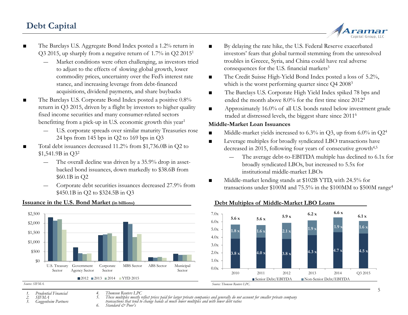### **Debt Capital**



- ■ The Barclays U.S. Aggregate Bond Index posted a 1.2% return in Q3 2015, up sharply from a negative return of 1.7% in Q2 20151
	- Market conditions were often challenging, as investors tried to adjust to the effects of slowing global growth, lower commodity prices, uncertainty over the Fed's interest rate stance, and increasing leverage from debt-financed acquisitions, dividend payments, and share buybacks
- ■ The Barclays U.S. Corporate Bond Index posted a positive 0.8% return in Q3 2015, driven by a flight by investors to higher quality fixed income securities and many consumer-related sectors benefitting from a pick-up in U.S. economic growth this year<sup>1</sup>
	- ― U.S. corporate spreads over similar maturity Treasuries rose 24 bps from 145 bps in Q2 to 169 bps in Q3
- ■ Total debt issuances decreased 11.2% from \$1,736.0B in Q2 to \$1,541.9B in O3<sup>2</sup>
	- The overall decline was driven by a 35.9% drop in assetbacked bond issuances, down markedly to \$38.6B from \$60.1B in Q2
	- Corporate debt securities issuances decreased 27.9% from \$450.1B in Q2 to \$324.5B in Q3



#### **Issuance in the U.S. Bond Market (in billions)**

- ■ By delaying the rate hike, the U.S. Federal Reserve exacerbated investors' fears that global turmoil stemming from the unresolved troubles in Greece, Syria, and China could have real adverse consequences for the U.S. financial markets<sup>3</sup>
- The Credit Suisse High-Yield Bond Index posted a loss of 5.2%, which is the worst performing quarter since  $Q4 2008<sup>3</sup>$
- ■ The Barclays U.S. Corporate High Yield Index spiked 78 bps and ended the month above 8.0% for the first time since 20124
- ■ Approximately 16.0% of all U.S. bonds rated below investment grade traded at distressed levels, the biggest share since  $2011^6$

#### **Middle-Market Loan Issuances**

- ■Middle-market yields increased to 6.3% in Q3, up from 6.0% in Q24
- ■ Leverage multiples for broadly syndicated LBO transactions have decreased in 2015, following four years of consecutive growth<sup>4,5</sup>
	- The average debt-to-EBITDA multiple has declined to 6.1x for broadly syndicated LBOs, but increased to 5.5x for institutional middle-market LBOs
- Middle-market lending stands at \$102B YTD, with 24.5% for transactions under \$100M and 75.5% in the \$100MM to \$500M range4



#### **Debt Multiples of Middle-Market LBO Loans**

*Source: SIFMA.*

- *1. Prudential Financial*
- *2. SIFMA*

*4. Thomson Reuters LPC*

*6. Standard & Poor's*

*3. Guggenheim Partners*

<sup>5.</sup> These multiples mostly reflect prices paid for larger private companies and generally do not account for smaller private company<br>transactions that tend to change hands at much lower multiples and with lower debt ratios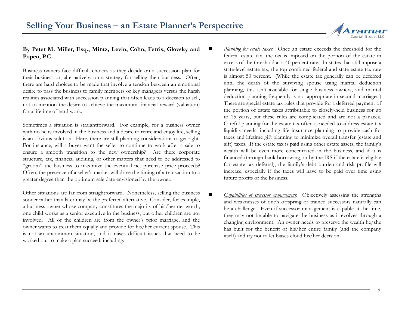

#### **By Peter M. Miller, Esq., Mintz, Levin, Cohn, Ferris, Glovsky and Popeo, P.C.** ■

Business owners face difficult choices as they decide on <sup>a</sup> succession plan for their business or, alternatively, on <sup>a</sup> strategy for selling their business. Often, there are hard choices to be made that involve <sup>a</sup> tension between an emotional desire to pass the business to family members or key managers versus the harsh realities associated with succession planning that often leads to <sup>a</sup> decision to sell, not to mention the desire to achieve the maximum financial reward (valuation) for <sup>a</sup> lifetime of hard work.

Sometimes <sup>a</sup> situation is straightforward. For example, for <sup>a</sup> business owner with no heirs involved in the business and <sup>a</sup> desire to retire and enjoy life, selling is an obvious solution. Here, there are still planning considerations to ge<sup>t</sup> right. For instance, will <sup>a</sup> buyer want the seller to continue to work after <sup>a</sup> sale to ensure <sup>a</sup> smooth transition to the new ownership? Are there corporate structure, tax, financial auditing, or other matters that need to be addressed to financed (through bank borrowing, or by the IRS if the estate is eligible "groom" the business to maximize the eventual net purchase price proceeds? Often, the presence of <sup>a</sup> seller's market will drive the timing of <sup>a</sup> transaction to <sup>a</sup> greater degree than the optimum sale date envisioned by the owner.

Other situations are far from straightforward. Nonetheless, selling the business sooner rather than later ma <sup>y</sup> be the preferred alternative. Consider, for example, <sup>a</sup> business owner whose company constitutes the majority of his/her net worth; one child works as <sup>a</sup> senior executive in the business, but other children are not involved. All of the children are from the owner's prior marriage, and the owner wants to treat them equally and provide for his/her current spouse. This is not an uncommon situation, and it raises difficult issues that need to be is not an uncommon situation, and it raises difficult issues that need to be itself) and try not to let biases cloud his/her decision worked out to make a plan succeed, including:

- *Planning for estate taxes*: Once an estate exceeds the threshold for the federal estate tax, the tax is imposed on the portion of the estate in excess of the threshold at <sup>a</sup> 40 percent rate. In states that still impose <sup>a</sup> state-level estate tax, the top combined federal and state estate tax rate is almost 50 percent. (While the estate tax generally can be deferred until the death of the surviving spouse using marital deduction planning, this isn't available for single business owners, and marital deduction planning frequently is not appropriate in second marriages.) There are special estate tax rules that provide for <sup>a</sup> deferred payment of the portion of estate taxes attributable to closely-held business for up to 15 years, but these rules are complicated and are not a panacea. Careful planning for the estate tax often is needed to address estate tax liquidity needs, including life insurance planning to provide cash for taxes and lifetime gift planning to minimize overall transfer (estate and gift) taxes. If the estate tax is paid using other estate assets, the family's wealth will be even more concentrated in the business, and if it is financed (through bank borrowing, or by the IRS if the estate is eligibl for estate tax deferral), the family's debt burden and risk profile will increase, especially if the taxes will have to be paid over time using future profits of the business.
	- *Capabilities of successor management*: Objectively assessing the strengths and weaknesses of one's offspring or trained successors naturally can be <sup>a</sup> challenge. Even if successor management is capable at the time, they may not be able to navigate the business as it evolves through <sup>a</sup> changing environment. An owner needs to preserve the wealth he/she has built for the benefit of his/her entire family (and the company

 $\blacksquare$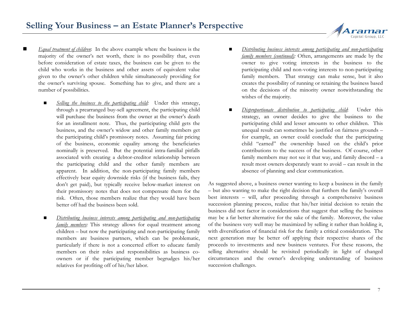- *Equal treatment of children*: In the above example where the business is the majority of the owner's net worth, there is no possibility that, even before consideration of estate taxes, the business can be given to the child who works in the business and other assets of equivalent value given to the owner's other children while simultaneously providing for famil the owner's surviving spouse. Something has to give, and there are <sup>a</sup> number of possibilities.
	- *Selling the business to the participating child:* Under this strategy, through <sup>a</sup> prearranged buy-sell agreement, the participating child will purchase the business from the owner at the owner's death for an installment note. Thus, the participating child gets the business, and the owner's widow and other family members ge<sup>t</sup> the participating child's promissory notes. Assuming fair pricing of the business, economic equality among the beneficiaries nominally is preserved. But the potential intra-familial pitfalls associated with creating a debtor-creditor relationship between the participating child and the other family members are apparent. In addition, the non-participating family members effectively bear equity downside risks (if the business fails, they don't ge<sup>t</sup> paid), but typically receive below-market interest on their promissory notes that does not compensate them for the risk. Often, those members realize that they would have been better off had the business been sold.
	- *Distributing business interests among participating and non-participating family members:* This strategy allows for equal treatment among children – but now the participating and non-participating family members are business partners, which can be problematic, particularly if there is not <sup>a</sup> concerted effort to educate family members on their roles and responsibilities as business coowners or if the participating member begrudges his/her relatives for profiting off of his/her labor.
- *Distributing business interests among participating and non-participating family members (continued):* Often, arrangements are made by the owner to give voting interests in the business to the participating child and non-voting interests to non-participating <sup>y</sup> members. That strategy can make sense, but it also gy, creates the possibility of running or retaining the business based on the decisions of the minority owner notwithstanding the wishes of the majority.
- *Disproportionate distribution to participating child*: Under this strategy, an owner decides to give the business to the participating child and lesser amounts to other children. This unequal result can sometimes be justified on fairness grounds – for example, an owner could conclude that the participating child "earned" the ownership based on the child's prior contributions to the success of the business. Of course, other n family members may not see it that way, and family discord – a result most owners desperately want to avoid – can result in the absence of planning and clear communication.

As suggested above, <sup>a</sup> business owner wanting to keep <sup>a</sup> business in the family – but also wanting to make the right decision that furthers the family's overall n best interests – will, after proceeding through a comprehensive business succession planning process, realize that his/her initial decision to retain the business did not factor in considerations that sugges<sup>t</sup> that selling the business may be <sup>a</sup> far better alternative for the sake of the family. Moreover, the value of the business very well may be maximized by selling it rather than holding it, with diversification of financial risk for the family <sup>a</sup> critical consideration. The next generation may be better off applying their respective shares of the proceeds to investments and new business ventures. For these reasons, the selling alternative should be revisited periodically in light of changed circumstances and the owner's developing understanding of business succession challenges.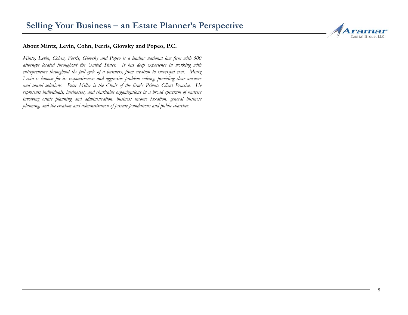

#### **About Mintz, Levin, Cohn, Ferris, Glovsky and Popeo, P.C.**

Mintz, Levin, Cohen, Ferris, Glovsky and Popeo is a leading national law firm with 500 attorneys located throughout the United States. It has deep experience in working with entrepreneurs throughout the full cycle of a business; from creation to successful exit. Mintz *Levin is known for its responsiveness and aggressive problem solving solving, providing clear answers* and sound solutions. Peter Miller is the Chair of the firm's Private Client Practice. He represents individuals, businesses, and charitable organizations in a broad spectrum of matters involving estate planning and administration, business income taxation, general business planning, and the creation and administration of private foundations and public charities.